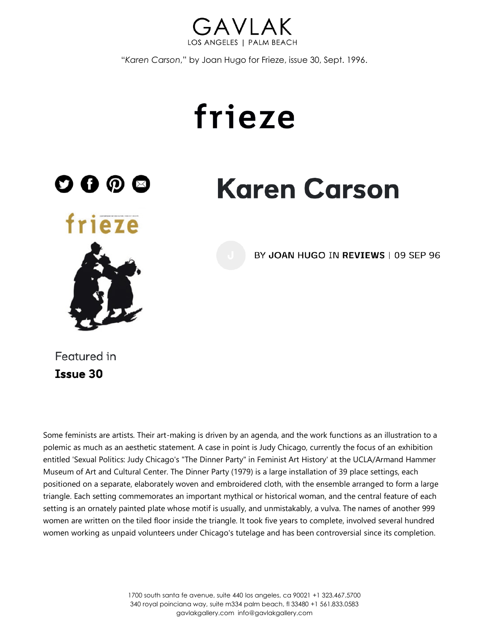

"*Karen Carson*," by Joan Hugo for Frieze, issue 30, Sept. 1996.

## frieze



**Karen Carson** 



BY JOAN HUGO IN REVIEWS | 09 SEP 96

Featured in **Issue 30** 

Some feminists are artists. Their art-making is driven by an agenda, and the work functions as an illustration to a polemic as much as an aesthetic statement. A case in point is Judy Chicago, currently the focus of an exhibition entitled 'Sexual Politics: Judy Chicago's "The Dinner Party" in Feminist Art History' at the UCLA/Armand Hammer Museum of Art and Cultural Center. The Dinner Party (1979) is a large installation of 39 place settings, each positioned on a separate, elaborately woven and embroidered cloth, with the ensemble arranged to form a large triangle. Each setting commemorates an important mythical or historical woman, and the central feature of each setting is an ornately painted plate whose motif is usually, and unmistakably, a vulva. The names of another 999 women are written on the tiled floor inside the triangle. It took five years to complete, involved several hundred women working as unpaid volunteers under Chicago's tutelage and has been controversial since its completion.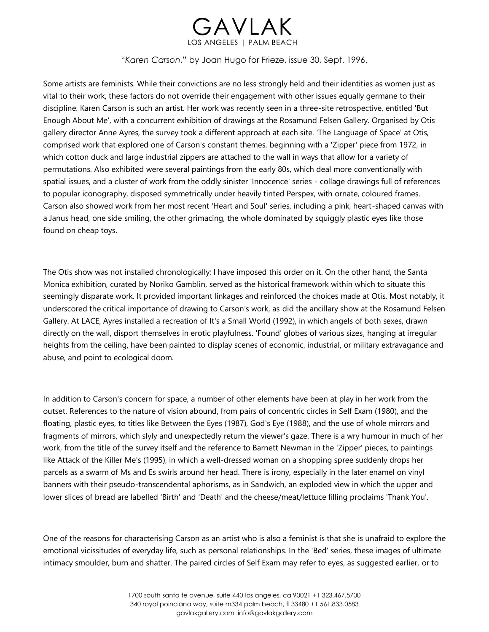

"*Karen Carson*," by Joan Hugo for Frieze, issue 30, Sept. 1996.

Some artists are feminists. While their convictions are no less strongly held and their identities as women just as vital to their work, these factors do not override their engagement with other issues equally germane to their discipline. Karen Carson is such an artist. Her work was recently seen in a three-site retrospective, entitled 'But Enough About Me', with a concurrent exhibition of drawings at the Rosamund Felsen Gallery. Organised by Otis gallery director Anne Ayres, the survey took a different approach at each site. 'The Language of Space' at Otis, comprised work that explored one of Carson's constant themes, beginning with a 'Zipper' piece from 1972, in which cotton duck and large industrial zippers are attached to the wall in ways that allow for a variety of permutations. Also exhibited were several paintings from the early 80s, which deal more conventionally with spatial issues, and a cluster of work from the oddly sinister 'Innocence' series - collage drawings full of references to popular iconography, disposed symmetrically under heavily tinted Perspex, with ornate, coloured frames. Carson also showed work from her most recent 'Heart and Soul' series, including a pink, heart-shaped canvas with a Janus head, one side smiling, the other grimacing, the whole dominated by squiggly plastic eyes like those found on cheap toys.

The Otis show was not installed chronologically; I have imposed this order on it. On the other hand, the Santa Monica exhibition, curated by Noriko Gamblin, served as the historical framework within which to situate this seemingly disparate work. It provided important linkages and reinforced the choices made at Otis. Most notably, it underscored the critical importance of drawing to Carson's work, as did the ancillary show at the Rosamund Felsen Gallery. At LACE, Ayres installed a recreation of It's a Small World (1992), in which angels of both sexes, drawn directly on the wall, disport themselves in erotic playfulness. 'Found' globes of various sizes, hanging at irregular heights from the ceiling, have been painted to display scenes of economic, industrial, or military extravagance and abuse, and point to ecological doom.

In addition to Carson's concern for space, a number of other elements have been at play in her work from the outset. References to the nature of vision abound, from pairs of concentric circles in Self Exam (1980), and the floating, plastic eyes, to titles like Between the Eyes (1987), God's Eye (1988), and the use of whole mirrors and fragments of mirrors, which slyly and unexpectedly return the viewer's gaze. There is a wry humour in much of her work, from the title of the survey itself and the reference to Barnett Newman in the 'Zipper' pieces, to paintings like Attack of the Killer Me's (1995), in which a well-dressed woman on a shopping spree suddenly drops her parcels as a swarm of Ms and Es swirls around her head. There is irony, especially in the later enamel on vinyl banners with their pseudo-transcendental aphorisms, as in Sandwich, an exploded view in which the upper and lower slices of bread are labelled 'Birth' and 'Death' and the cheese/meat/lettuce filling proclaims 'Thank You'.

One of the reasons for characterising Carson as an artist who is also a feminist is that she is unafraid to explore the emotional vicissitudes of everyday life, such as personal relationships. In the 'Bed' series, these images of ultimate intimacy smoulder, burn and shatter. The paired circles of Self Exam may refer to eyes, as suggested earlier, or to